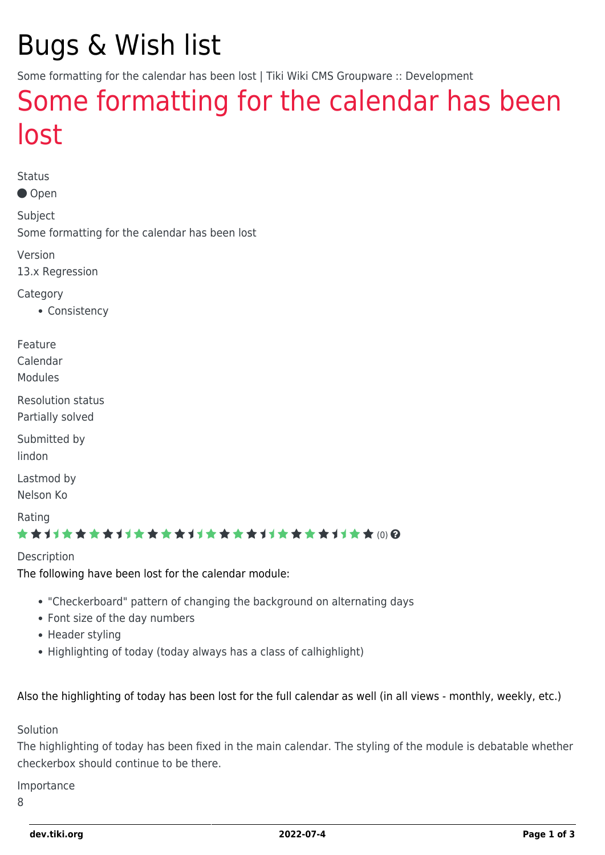# Bugs & Wish list

Some formatting for the calendar has been lost | Tiki Wiki CMS Groupware :: Development

## [Some formatting for the calendar has been](https://dev.tiki.org/item5287-Some-formatting-for-the-calendar-has-been-lost) [lost](https://dev.tiki.org/item5287-Some-formatting-for-the-calendar-has-been-lost)

Status

Open

Subject Some formatting for the calendar has been lost

Version 13.x Regression

**Category** 

• Consistency

Feature

Calendar

Modules

Resolution status Partially solved

Submitted by

lindon

Lastmod by

Nelson Ko

Rating

#### ★★11★★★★11★★★★11★★★★11★★★★11★★ (0) @

Description The following have been lost for the calendar module:

- "Checkerboard" pattern of changing the background on alternating days
- Font size of the day numbers
- Header styling
- Highlighting of today (today always has a class of calhighlight)

Also the highlighting of today has been lost for the full calendar as well (in all views - monthly, weekly, etc.)

Solution

The highlighting of today has been fixed in the main calendar. The styling of the module is debatable whether checkerbox should continue to be there.

Importance

8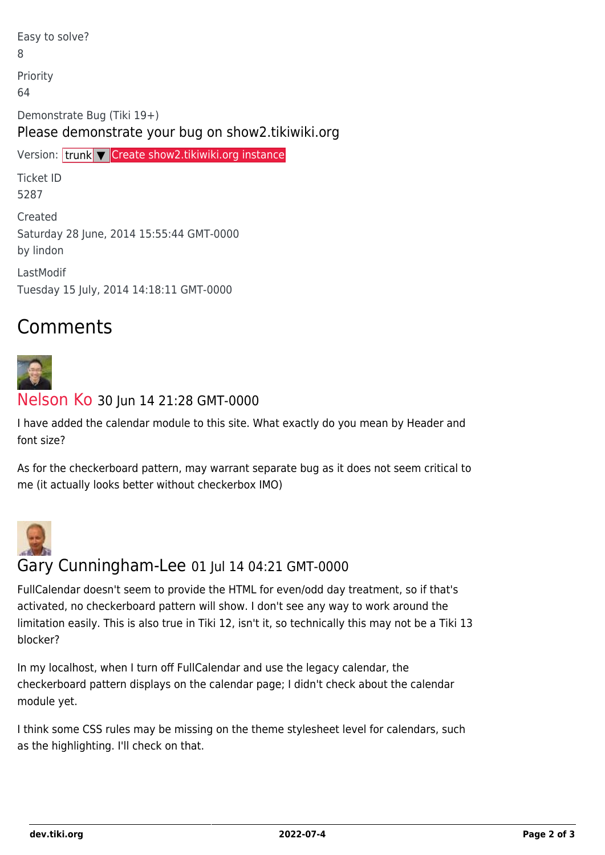Easy to solve? 8 Priority 64 Demonstrate Bug (Tiki 19+) Please demonstrate your bug on show2.tikiwiki.org Version: trunk ▼ [Create show2.tikiwiki.org instance](#page--1-0) Ticket ID 5287

Created Saturday 28 June, 2014 15:55:44 GMT-0000 by lindon

LastModif Tuesday 15 July, 2014 14:18:11 GMT-0000

## Comments



### [Nelson Ko](https://dev.tiki.org/user9801) 30 Jun 14 21:28 GMT-0000

I have added the calendar module to this site. What exactly do you mean by Header and font size?

As for the checkerboard pattern, may warrant separate bug as it does not seem critical to me (it actually looks better without checkerbox IMO)



#### Gary Cunningham-Lee 01 Jul 14 04:21 GMT-0000

FullCalendar doesn't seem to provide the HTML for even/odd day treatment, so if that's activated, no checkerboard pattern will show. I don't see any way to work around the limitation easily. This is also true in Tiki 12, isn't it, so technically this may not be a Tiki 13 blocker?

In my localhost, when I turn off FullCalendar and use the legacy calendar, the checkerboard pattern displays on the calendar page; I didn't check about the calendar module yet.

I think some CSS rules may be missing on the theme stylesheet level for calendars, such as the highlighting. I'll check on that.